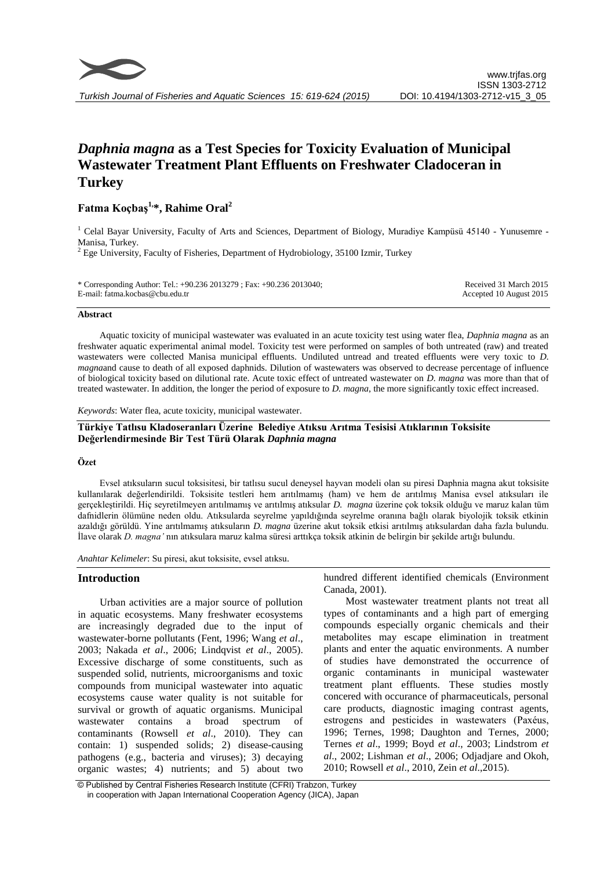

# *Daphnia magna* **as a Test Species for Toxicity Evaluation of Municipal Wastewater Treatment Plant Effluents on Freshwater Cladoceran in Turkey**

# **Fatma Koçbaş1,\*, Rahime Oral<sup>2</sup>**

<sup>1</sup> Celal Bayar University, Faculty of Arts and Sciences, Department of Biology, Muradiye Kampüsü 45140 - Yunusemre -Manisa, Turkey.

 $2$  Ege University, Faculty of Fisheries, Department of Hydrobiology, 35100 Izmir, Turkey

| * Corresponding Author: Tel.: +90.236 2013279 ; Fax: +90.236 2013040; | Received 31 March 2015  |
|-----------------------------------------------------------------------|-------------------------|
| E-mail: fatma.kocbas@cbu.edu.tr                                       | Accepted 10 August 2015 |

# **Abstract**

Aquatic toxicity of municipal wastewater was evaluated in an acute toxicity test using water flea, *Daphnia magna* as an freshwater aquatic experimental animal model. Toxicity test were performed on samples of both untreated (raw) and treated wastewaters were collected Manisa municipal effluents. Undiluted untread and treated effluents were very toxic to *D. magna*and cause to death of all exposed daphnids. Dilution of wastewaters was observed to decrease percentage of influence of biological toxicity based on dilutional rate. Acute toxic effect of untreated wastewater on *D. magna* was more than that of treated wastewater. In addition, the longer the period of exposure to *D. magna*, the more significantly toxic effect increased.

*Keywords*: Water flea, acute toxicity, municipal wastewater.

# **Türkiye Tatlısu Kladoseranları Üzerine Belediye Atıksu Arıtma Tesisisi Atıklarının Toksisite Değerlendirmesinde Bir Test Türü Olarak** *Daphnia magna*

# **Özet**

Evsel atıksuların sucul toksisitesi, bir tatlısu sucul deneysel hayvan modeli olan su piresi Daphnia magna akut toksisite kullanılarak değerlendirildi. Toksisite testleri hem arıtılmamış (ham) ve hem de arıtılmış Manisa evsel atıksuları ile gerçekleştirildi. Hiç seyretilmeyen arıtılmamış ve arıtılmış atıksular *D. magna* üzerine çok toksik olduğu ve maruz kalan tüm dafnidlerin ölümüne neden oldu. Atıksularda seyrelme yapıldığında seyrelme oranına bağlı olarak biyolojik toksik etkinin azaldığı görüldü. Yine arıtılmamış atıksuların *D. magna* üzerine akut toksik etkisi arıtılmış atıksulardan daha fazla bulundu. İlave olarak *D. magna'* nın atıksulara maruz kalma süresi arttıkça toksik atkinin de belirgin bir şekilde artığı bulundu.

*Anahtar Kelimeler*: Su piresi, akut toksisite, evsel atıksu.

# **Introduction**

Urban activities are a major source of pollution in aquatic ecosystems. Many freshwater ecosystems are increasingly degraded due to the input of wastewater-borne pollutants (Fent, 1996; Wang *et al*., 2003; Nakada *et al*., 2006; Lindqvist *et al*., 2005). Excessive discharge of some constituents, such as suspended solid, nutrients, microorganisms and toxic compounds from municipal wastewater into aquatic ecosystems cause water quality is not suitable for survival or growth of aquatic organisms. Municipal wastewater contains a broad spectrum of contaminants (Rowsell *et al*., 2010). They can contain: 1) suspended solids; 2) disease-causing pathogens (e.g., bacteria and viruses); 3) decaying organic wastes; 4) nutrients; and 5) about two hundred different identified chemicals (Environment Canada, 2001).

Most wastewater treatment plants not treat all types of contaminants and a high part of emerging compounds especially organic chemicals and their metabolites may escape elimination in treatment plants and enter the aquatic environments. A number of studies have demonstrated the occurrence of organic contaminants in municipal wastewater treatment plant effluents. These studies mostly concered with occurance of pharmaceuticals, personal care products, diagnostic imaging contrast agents, estrogens and pesticides in wastewaters (Paxéus, 1996; [Ternes, 1998;](http://www.sciencedirect.com/science?_ob=ArticleURL&_udi=B6V78-4JXY3M1-2&_user=691224&_coverDate=08%2F31%2F2006&_rdoc=1&_fmt=high&_orig=search&_origin=search&_sort=d&_docanchor=&view=c&_acct=C000038618&_version=1&_urlVersion=0&_userid=691224&md5=20537f34e419fe9720053deda9b09e26&searchtype=a#bbib35#bbib35) Daughton and Ternes, 2000; Ternes *et al*., 1999; Boyd *et al*., 2003; Lindstrom *et al*., 2002; Lishman *et al*., 2006; [Odjadjare a](http://www.ncbi.nlm.nih.gov/pubmed/?term=Odjadjare%20EE%5BAuthor%5D&cauthor=true&cauthor_uid=19921451)nd [Okoh,](http://www.ncbi.nlm.nih.gov/pubmed/?term=Okoh%20AI%5BAuthor%5D&cauthor=true&cauthor_uid=19921451) 2010; Rowsell *et al*., 2010, Zein *et al*.,2015).

<sup>©</sup> Published by Central Fisheries Research Institute (CFRI) Trabzon, Turkey in cooperation with Japan International Cooperation Agency (JICA), Japan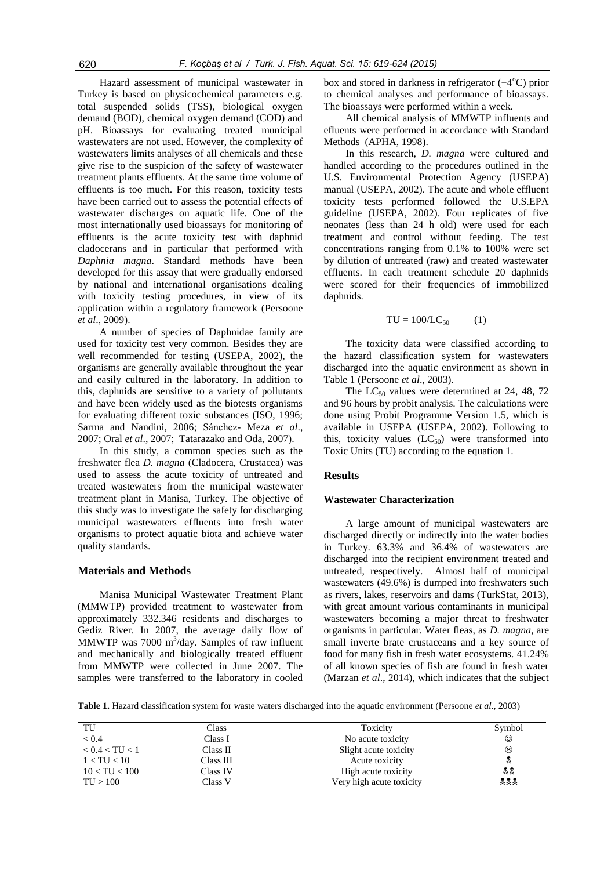Hazard assessment of municipal wastewater in Turkey is based on physicochemical parameters e.g. total suspended solids (TSS), biological oxygen demand (BOD), chemical oxygen demand (COD) and pH. Bioassays for evaluating treated municipal wastewaters are not used. However, the complexity of wastewaters limits analyses of all chemicals and these give rise to the suspicion of the safety of wastewater treatment plants effluents. At the same time volume of effluents is too much. For this reason, toxicity tests have been carried out to assess the potential effects of wastewater discharges on aquatic life. One of the most internationally used bioassays for monitoring of effluents is the acute toxicity test with daphnid cladocerans and in particular that performed with *Daphnia magna*. Standard methods have been developed for this assay that were gradually endorsed by national and international organisations dealing with toxicity testing procedures, in view of its application within a regulatory framework (Persoone *et al*., 2009).

A number of species of Daphnidae family are used for toxicity test very common. Besides they are well recommended for testing (USEPA, 2002), the organisms are generally available throughout the year and easily cultured in the laboratory. In addition to this, daphnids are sensitive to a variety of pollutants and have been widely used as the biotests organisms for evaluating different toxic substances (ISO, 1996; Sarma and Nandini, 2006; Sánchez- Meza *et al*., 2007; Oral *et al*., 2007; Tatarazako and Oda, 2007).

In this study, a common species such as the freshwater flea *D. magna* (Cladocera, Crustacea) was used to assess the acute toxicity of untreated and treated wastewaters from the municipal wastewater treatment plant in Manisa, Turkey. The objective of this study was to investigate the safety for discharging municipal wastewaters effluents into fresh water organisms to protect aquatic biota and achieve water quality standards.

# **Materials and Methods**

Manisa Municipal Wastewater Treatment Plant (MMWTP) provided treatment to wastewater from approximately 332.346 residents and discharges to Gediz River. In 2007, the average daily flow of MMWTP was  $7000 \text{ m}^3/\text{day}$ . Samples of raw influent and mechanically and biologically treated effluent from MMWTP were collected in June 2007. The samples were transferred to the laboratory in cooled

box and stored in darkness in refrigerator  $(+4^{\circ}C)$  prior to chemical analyses and performance of bioassays. The bioassays were performed within a week.

All chemical analysis of MMWTP influents and efluents were performed in accordance with Standard Methods (APHA, 1998).

In this research, *D. magna* were cultured and handled according to the procedures outlined in the U.S. Environmental Protection Agency (USEPA) manual (USEPA, 2002). The acute and whole effluent toxicity tests performed followed the U.S.EPA guideline (USEPA, 2002). Four replicates of five neonates (less than 24 h old) were used for each treatment and control without feeding. The test concentrations ranging from 0.1% to 100% were set by dilution of untreated (raw) and treated wastewater effluents. In each treatment schedule 20 daphnids were scored for their frequencies of immobilized daphnids.

$$
TU = 100/LC_{50} \tag{1}
$$

The toxicity data were classified according to the hazard classification system for wastewaters discharged into the aquatic environment as shown in Table 1 (Persoone *et al*., 2003).

The  $LC_{50}$  values were determined at 24, 48, 72 and 96 hours by probit analysis. The calculations were done using Probit Programme Version 1.5, which is available in USEPA (USEPA, 2002). Following to this, toxicity values  $(LC_{50})$  were transformed into Toxic Units (TU) according to the equation 1.

#### **Results**

#### **Wastewater Characterization**

A large amount of municipal wastewaters are discharged directly or indirectly into the water bodies in Turkey. 63.3% and 36.4% of wastewaters are discharged into the recipient environment treated and untreated, respectively. Almost half of municipal wastewaters (49.6%) is dumped into freshwaters such as rivers, lakes, reservoirs and dams (TurkStat, 2013), with great amount various contaminants in municipal wastewaters becoming a major threat to freshwater organisms in particular. Water fleas, as *D. magna,* are small inverte brate crustaceans and a key source of food for many fish in fresh water ecosystems. 41.24% of all known species of fish are found in fresh water (Marzan *et al*., 2014), which indicates that the subject

**Table 1.** Hazard classification system for waste waters discharged into the aquatic environment (Persoone *et al*., 2003)

| TU              | Class     | Toxicity                 | Symbol |
|-----------------|-----------|--------------------------|--------|
| < 0.4           | Class I   | No acute toxicity        | ☺      |
| < 0.4 < T U < 1 | Class II  | Slight acute toxicity    | ☺      |
| 1 < T U < 10    | Class III | Acute toxicity           |        |
| 10 < T U < 100  | Class IV  | High acute toxicity      | 22     |
| TU > 100        | Class V   | Very high acute toxicity | 222    |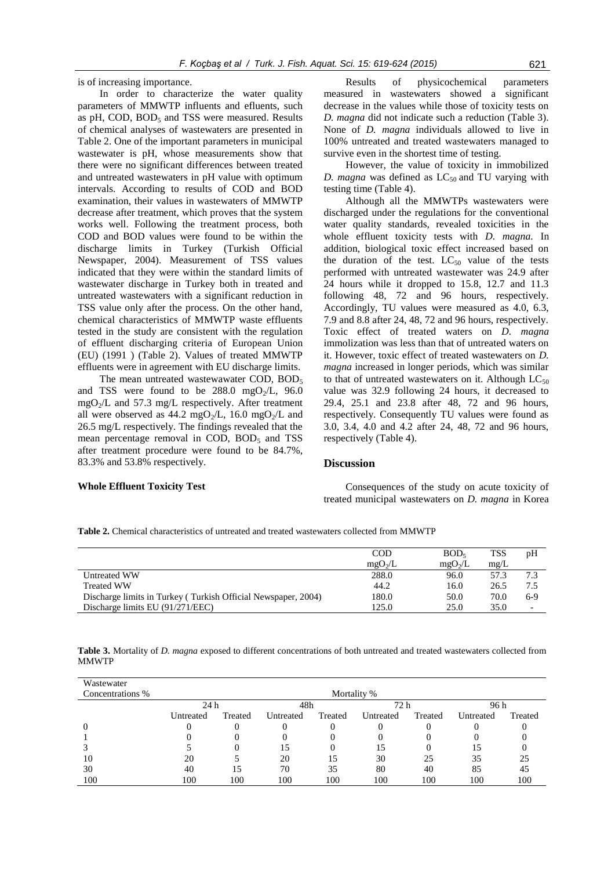is of increasing importance.

In order to characterize the water quality parameters of MMWTP influents and efluents, such as pH, COD,  $BOD<sub>5</sub>$  and TSS were measured. Results of chemical analyses of wastewaters are presented in Table 2. One of the important parameters in municipal wastewater is pH, whose measurements show that there were no significant differences between treated and untreated wastewaters in pH value with optimum intervals. According to results of COD and BOD examination, their values in wastewaters of MMWTP decrease after treatment, which proves that the system works well. Following the treatment process, both COD and BOD values were found to be within the discharge limits in Turkey (Turkish Official Newspaper, 2004). Measurement of TSS values indicated that they were within the standard limits of wastewater discharge in Turkey both in treated and untreated wastewaters with a significant reduction in TSS value only after the process. On the other hand, chemical characteristics of MMWTP waste effluents tested in the study are consistent with the regulation of effluent discharging criteria of European Union (EU) (1991 ) (Table 2). Values of treated MMWTP effluents were in agreement with EU discharge limits.

The mean untreated wastewawater COD,  $BOD<sub>5</sub>$ and TSS were found to be  $288.0 \text{ mgO}_{2}/L$ , 96.0  $mgO<sub>2</sub>/L$  and 57.3 mg/L respectively. After treatment all were observed as 44.2 mgO<sub>2</sub>/L, 16.0 mgO<sub>2</sub>/L and 26.5 mg/L respectively. The findings revealed that the mean percentage removal in COD,  $BOD<sub>5</sub>$  and TSS after treatment procedure were found to be 84.7%, 83.3% and 53.8% respectively.

Results of physicochemical parameters measured in wastewaters showed a significant decrease in the values while those of toxicity tests on *D. magna* did not indicate such a reduction (Table 3). None of *D. magna* individuals allowed to live in 100% untreated and treated wastewaters managed to survive even in the shortest time of testing.

However, the value of toxicity in immobilized *D. magna* was defined as  $LC_{50}$  and TU varying with testing time (Table 4).

Although all the MMWTPs wastewaters were discharged under the regulations for the conventional water quality standards, revealed toxicities in the whole effluent toxicity tests with *D. magna.* In addition, biological toxic effect increased based on the duration of the test.  $LC_{50}$  value of the tests performed with untreated wastewater was 24.9 after 24 hours while it dropped to 15.8, 12.7 and 11.3 following 48, 72 and 96 hours, respectively. Accordingly, TU values were measured as 4.0, 6.3, 7.9 and 8.8 after 24, 48, 72 and 96 hours, respectively. Toxic effect of treated waters on *D. magna* immolization was less than that of untreated waters on it. However, toxic effect of treated wastewaters on *D. magna* increased in longer periods, which was similar to that of untreated wastewaters on it. Although  $LC_{50}$ value was 32.9 following 24 hours, it decreased to 29.4, 25.1 and 23.8 after 48, 72 and 96 hours, respectively. Consequently TU values were found as 3.0, 3.4, 4.0 and 4.2 after 24, 48, 72 and 96 hours, respectively (Table 4).

#### **Discussion**

# **Whole Effluent Toxicity Test**

Consequences of the study on acute toxicity of treated municipal wastewaters on *D. magna* in Korea

**Table 2.** Chemical characteristics of untreated and treated wastewaters collected from MMWTP

|                                                               | <b>COD</b>          | BOD <sub>5</sub>    | <b>TSS</b> | pH                       |
|---------------------------------------------------------------|---------------------|---------------------|------------|--------------------------|
|                                                               | mgO <sub>2</sub> /L | mgO <sub>2</sub> /L | mg/L       |                          |
| Untreated WW                                                  | 288.0               | 96.0                | 57.3       | 7.3                      |
| <b>Treated WW</b>                                             | 44.2                | 16.0                | 26.5       | 7.5                      |
| Discharge limits in Turkey (Turkish Official Newspaper, 2004) | 180.0               | 50.0                | 70.0       | $6-9$                    |
| Discharge limits EU (91/271/EEC)                              | 125.0               | 25.0                | 35.0       | $\overline{\phantom{0}}$ |

**Table 3.** Mortality of *D. magna* exposed to different concentrations of both untreated and treated wastewaters collected from MMWTP

| Wastewater       |           |         |           |         |             |         |           |         |
|------------------|-----------|---------|-----------|---------|-------------|---------|-----------|---------|
| Concentrations % |           |         |           |         | Mortality % |         |           |         |
|                  | 24 h      |         | 48h       |         | 72 h        |         | 96 h      |         |
|                  | Untreated | Treated | Untreated | Treated | Untreated   | Treated | Untreated | Treated |
|                  |           |         |           | 0       | 0           | 0       |           |         |
|                  |           |         |           | 0       | O           | 0       |           |         |
|                  |           |         |           |         | 15          |         | 15        |         |
| 10               | 20        |         | 20        | 15      | 30          | 25      | 35        | 25      |
| 30               | 40        | 15      | 70        | 35      | 80          | 40      | 85        | 45      |
| 100              | 100       | 100     | 100       | 100     | 100         | 100     | 100       | 100     |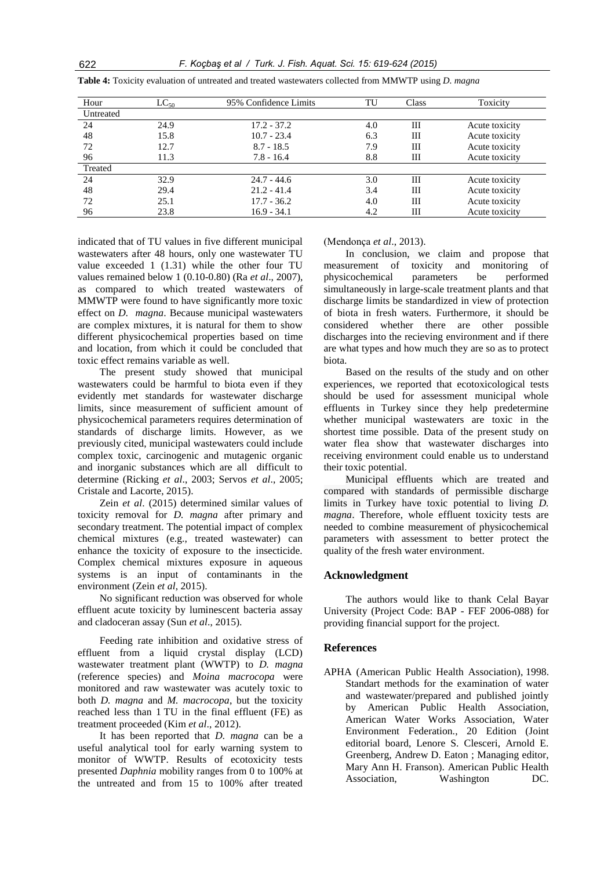| Hour      | $\mathop{\rm LC}\nolimits_{50}$ | 95% Confidence Limits | TU  | <b>Class</b> | Toxicity       |
|-----------|---------------------------------|-----------------------|-----|--------------|----------------|
| Untreated |                                 |                       |     |              |                |
| 24        | 24.9                            | $17.2 - 37.2$         | 4.0 | Ш            | Acute toxicity |
| 48        | 15.8                            | $10.7 - 23.4$         | 6.3 | Ш            | Acute toxicity |
| 72        | 12.7                            | $8.7 - 18.5$          | 7.9 | Ш            | Acute toxicity |
| 96        | 11.3                            | $7.8 - 16.4$          | 8.8 | Ш            | Acute toxicity |
| Treated   |                                 |                       |     |              |                |
| 24        | 32.9                            | $24.7 - 44.6$         | 3.0 | Ш            | Acute toxicity |
| 48        | 29.4                            | $21.2 - 41.4$         | 3.4 | Ш            | Acute toxicity |
| 72        | 25.1                            | $17.7 - 36.2$         | 4.0 | Ш            | Acute toxicity |
| 96        | 23.8                            | $16.9 - 34.1$         | 4.2 | Ш            | Acute toxicity |

**Table 4:** Toxicity evaluation of untreated and treated wastewaters collected from MMWTP using *D. magna*

indicated that of TU values in five different municipal wastewaters after 48 hours, only one wastewater TU value exceeded 1 (1.31) while the other four TU values remained below 1 (0.10-0.80) (Ra *et al*., 2007), as compared to which treated wastewaters of MMWTP were found to have significantly more toxic effect on *D. magna*. Because municipal wastewaters are complex mixtures, it is natural for them to show different physicochemical properties based on time and location, from which it could be concluded that toxic effect remains variable as well.

The present study showed that municipal wastewaters could be harmful to biota even if they evidently met standards for wastewater discharge limits, since measurement of sufficient amount of physicochemical parameters requires determination of standards of discharge limits. However, as we previously cited, municipal wastewaters could include complex toxic, carcinogenic and mutagenic organic and inorganic substances which are all difficult to determine (Ricking *et al*., 2003; Servos *et al*., 2005; Cristale and Lacorte, 2015).

Zein *et al*. (2015) determined similar values of toxicity removal for *D. magna* after primary and secondary treatment. The potential impact of complex chemical mixtures (e.g., treated wastewater) can enhance the toxicity of exposure to the insecticide. Complex chemical mixtures exposure in aqueous systems is an input of contaminants in the environment (Zein *et al*, 2015).

No significant reduction was observed for whole effluent acute toxicity by luminescent bacteria assay and cladoceran assay (Sun *et al*., 2015).

Feeding rate inhibition and oxidative stress of effluent from a liquid crystal display (LCD) wastewater treatment plant (WWTP) to *D. magna* (reference species) and *Moina macrocopa* were monitored and raw wastewater was acutely toxic to both *D. magna* and *M. macrocopa*, but the toxicity reached less than 1 TU in the final effluent (FE) as treatment proceeded (Kim *et al*., 2012).

It has been reported that *D. magna* can be a useful analytical tool for early warning system to monitor of WWTP. Results of ecotoxicity tests presented *Daphnia* mobility ranges from 0 to 100% at the untreated and from 15 to 100% after treated (Mendonça *et al*., 2013).

In conclusion, we claim and propose that measurement of toxicity and monitoring of physicochemical parameters be performed simultaneously in large-scale treatment plants and that discharge limits be standardized in view of protection of biota in fresh waters. Furthermore, it should be considered whether there are other possible discharges into the recieving environment and if there are what types and how much they are so as to protect biota.

Based on the results of the study and on other experiences, we reported that ecotoxicological tests should be used for assessment municipal whole effluents in Turkey since they help predetermine whether municipal wastewaters are toxic in the shortest time possible. Data of the present study on water flea show that wastewater discharges into receiving environment could enable us to understand their toxic potential.

Municipal effluents which are treated and compared with standards of permissible discharge limits in Turkey have toxic potential to living *D. magna*. Therefore, whole effluent toxicity tests are needed to combine measurement of physicochemical parameters with assessment to better protect the quality of the fresh water environment.

# **Acknowledgment**

The authors would like to thank Celal Bayar University (Project Code: BAP - FEF 2006-088) for providing financial support for the project.

#### **References**

APHA (American Public Health Association), 1998. Standart methods for the examination of water and wastewater/prepared and published jointly by American Public Health Association, American Water Works Association, Water Environment Federation., 20 Edition (Joint editorial board, Lenore S. Clesceri, Arnold E. Greenberg, Andrew D. Eaton ; Managing editor, Mary Ann H. Franson). American Public Health Association, Washington DC.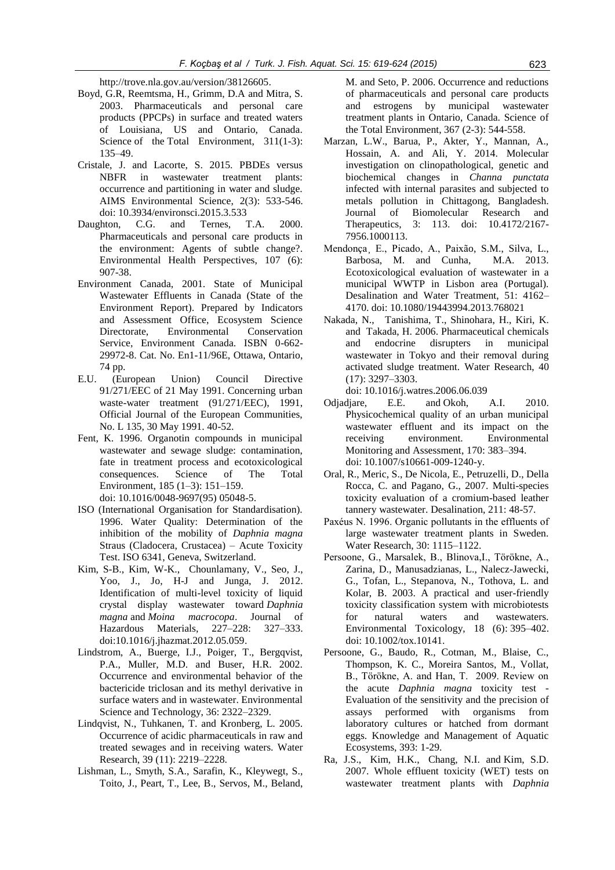[http://trove.nla.gov.au/version/38126605.](http://trove.nla.gov.au/version/38126605)

- Boyd, G.R, Reemtsma, H., Grimm, D.A and Mitra, S. 2003. Pharmaceuticals and personal care products (PPCPs) in surface and treated waters of Louisiana, US and Ontario, Canada. Science of the Total Environment, 311(1-3): 135–49.
- Cristale, J. and Lacorte, S. 2015. PBDEs versus NBFR in wastewater treatment plants: occurrence and partitioning in water and sludge. AIMS Environmental Science, 2(3): 533-546. doi: 10.3934/environsci.2015.3.533
- Daughton, C.G. and Ternes, T.A. 2000. Pharmaceuticals and personal care products in the environment: Agents of subtle change?. Environmental Health Perspectives, 107 (6): 907-38.
- Environment Canada, 2001. State of Municipal Wastewater Effluents in Canada (State of the Environment Report). Prepared by Indicators and Assessment Office, Ecosystem Science Directorate, Environmental Conservation Service, Environment Canada. ISBN 0-662- 29972-8. Cat. No. En1-11/96E, Ottawa, Ontario, 74 pp.
- E.U. (European Union) Council Directive 91/271/EEC of 21 May 1991. Concerning urban waste-water treatment (91/271/EEC), 1991, Official Journal of the European Communities, No. L 135, 30 May 1991. 40-52.
- [Fent,](http://www.sciencedirect.com/science/article/pii/0048969795050485) K. 1996. Organotin compounds in municipal wastewater and sewage sludge: contamination, fate in treatment process and ecotoxicological consequences. [Science of The Total](http://www.sciencedirect.com/science/journal/00489697)  [Environment,](http://www.sciencedirect.com/science/journal/00489697) [185 \(1–3\)](http://www.sciencedirect.com/science/journal/00489697/185/1): 151–159. doi: [10.1016/0048-9697\(95\)](http://dx.doi.org/10.1016/0048-9697(95)05048-5) 05048-5.
- ISO (International Organisation for Standardisation). 1996. Water Quality: Determination of the inhibition of the mobility of *Daphnia magna* Straus (Cladocera, Crustacea) – Acute Toxicity Test. ISO 6341, Geneva, Switzerland.
- Kim, S-B., [Kim,](http://www.sciencedirect.com/science/article/pii/S0304389412005626) W-K., [Chounlamany,](http://www.sciencedirect.com/science/article/pii/S0304389412005626) V., [Seo,](http://www.sciencedirect.com/science/article/pii/S0304389412005626) J., [Yoo,](http://www.sciencedirect.com/science/article/pii/S0304389412005626) J., [Jo,](http://www.sciencedirect.com/science/article/pii/S0304389412005626) H-J and [Junga,](http://www.sciencedirect.com/science/article/pii/S0304389412005626) J. 2012. Identification of multi-level toxicity of liquid crystal display wastewater toward *Daphnia magna* and *Moina macrocopa*. Journal of Hazardous Materials, [227–228:](http://www.sciencedirect.com/science/journal/03043894/227/supp/C) 327–333. [doi:10.1016/j.jhazmat.2012.05.059.](http://dx.doi.org/10.1016/j.jhazmat.2012.05.059)
- Lindstrom, A., Buerge, I.J., Poiger, T., Bergqvist, P.A., Muller, M.D. and Buser, H.R. 2002. Occurrence and environmental behavior of the bactericide triclosan and its methyl derivative in surface waters and in wastewater. Environmental Science and Technology, 36: 2322–2329.
- Lindqvist, N., Tuhkanen, T. and Kronberg, L. 2005. Occurrence of acidic pharmaceuticals in raw and treated sewages and in receiving waters. Water Research, 39 (11): 2219–2228.
- [Lishman, L.,](http://www.ncbi.nlm.nih.gov/pubmed?term=Lishman%20L%5BAuthor%5D&cauthor=true&cauthor_uid=16697441) [Smyth, S.A.,](http://www.ncbi.nlm.nih.gov/pubmed?term=Smyth%20SA%5BAuthor%5D&cauthor=true&cauthor_uid=16697441) [Sarafin, K.](http://www.ncbi.nlm.nih.gov/pubmed?term=Sarafin%20K%5BAuthor%5D&cauthor=true&cauthor_uid=16697441), [Kleywegt, S.,](http://www.ncbi.nlm.nih.gov/pubmed?term=Kleywegt%20S%5BAuthor%5D&cauthor=true&cauthor_uid=16697441) [Toito, J.](http://www.ncbi.nlm.nih.gov/pubmed?term=Toito%20J%5BAuthor%5D&cauthor=true&cauthor_uid=16697441), [Peart, T.](http://www.ncbi.nlm.nih.gov/pubmed?term=Peart%20T%5BAuthor%5D&cauthor=true&cauthor_uid=16697441), [Lee, B.](http://www.ncbi.nlm.nih.gov/pubmed?term=Lee%20B%5BAuthor%5D&cauthor=true&cauthor_uid=16697441), [Servos, M.](http://www.ncbi.nlm.nih.gov/pubmed?term=Servos%20M%5BAuthor%5D&cauthor=true&cauthor_uid=16697441), [Beland,](http://www.ncbi.nlm.nih.gov/pubmed?term=Beland%20M%5BAuthor%5D&cauthor=true&cauthor_uid=16697441)

[M.](http://www.ncbi.nlm.nih.gov/pubmed?term=Beland%20M%5BAuthor%5D&cauthor=true&cauthor_uid=16697441) and [Seto, P.](http://www.ncbi.nlm.nih.gov/pubmed?term=Seto%20P%5BAuthor%5D&cauthor=true&cauthor_uid=16697441) 2006. Occurrence and reductions of pharmaceuticals and personal care products and estrogens by municipal wastewater treatment plants in Ontario, Canada. Science of the Total Environment, 367 (2-3): 544-558.

- Marzan, L.W., Barua, P., Akter, Y., Mannan, A., Hossain, A. and Ali, Y. 2014. Molecular investigation on clinopathological, genetic and biochemical changes in *Channa punctata* infected with internal parasites and subjected to metals pollution in Chittagong, Bangladesh. Journal of [Biomolecular Research and](http://www.omicsgroup.org/journals/archive-biomolecular-research-therapeutics-open-access.php)  [Therapeutics,](http://www.omicsgroup.org/journals/archive-biomolecular-research-therapeutics-open-access.php) 3: 113. doi: 10.4172/2167- 7956.1000113.
- Mendonça¸ E., Picado, A., Paixão, S.M., Silva, L., Barbosa, M. and Cunha, M.A. 2013. Ecotoxicological evaluation of wastewater in a municipal WWTP in Lisbon area (Portugal). Desalination and Water Treatment, 51: 4162– 4170. doi: 10.1080/19443994.2013.768021
- [Nakada,](http://www.sciencedirect.com/science/article/pii/S0043135406003952) N., [Tanishima,](http://www.sciencedirect.com/science/article/pii/S0043135406003952) T., [Shinohara,](http://www.sciencedirect.com/science/article/pii/S0043135406003952) H., [Kiri,](http://www.sciencedirect.com/science/article/pii/S0043135406003952) K. and [Takada,](http://www.sciencedirect.com/science/article/pii/S0043135406003952) H. 2006. Pharmaceutical chemicals and endocrine disrupters in municipal wastewater in Tokyo and their removal during activated sludge treatment. Water Research, [40](http://www.sciencedirect.com/science/journal/00431354/40/17)  [\(17\)](http://www.sciencedirect.com/science/journal/00431354/40/17): 3297–3303.

doi: [10.1016/j.watres.2006.06.039](http://dx.doi.org/10.1016/j.watres.2006.06.039)

- [Odjadjare, E.E.](http://www.ncbi.nlm.nih.gov/pubmed/?term=Odjadjare%20EE%5BAuthor%5D&cauthor=true&cauthor_uid=19921451) and [Okoh, A.I.](http://www.ncbi.nlm.nih.gov/pubmed/?term=Okoh%20AI%5BAuthor%5D&cauthor=true&cauthor_uid=19921451) 2010. Physicochemical quality of an urban municipal wastewater effluent and its impact on the receiving environment. [Environmental](http://link.springer.com/journal/10661)  [Monitoring and Assessment,](http://link.springer.com/journal/10661) 170: 383–394. doi: 10.1007/s10661-009-1240-y.
- Oral, R., Meric, S., De Nicola, E., Petruzelli, D., Della Rocca, C. and Pagano, G., 2007. Multi-species toxicity evaluation of a cromium-based leather tannery wastewater. Desalination, 211: 48-57.
- Paxéus N. 1996. Organic pollutants in the effluents of large wastewater treatment plants in Sweden. Water Research, 30: 1115–1122.
- Persoone, G., Marsalek, B., Blinova,I., Törökne, A., Zarina, D., Manusadzianas, L., Nalecz-Jawecki, G., Tofan, L., Stepanova, N., Tothova, L. and Kolar, B. 2003. A practical and user-friendly toxicity classification system with microbiotests for natural waters and wastewaters. Environmental Toxicology, 18 (6): 395–402. doi: 10.1002/tox.10141.
- Persoone, G., Baudo, R., Cotman, M., Blaise, C., Thompson, K. C., Moreira Santos, M., Vollat, B., Törökne, A. and Han, T. 2009. Review on the acute *Daphnia magna* toxicity test - Evaluation of the sensitivity and the precision of assays performed with organisms from laboratory cultures or hatched from dormant eggs. Knowledge and Management of Aquatic Ecosystems, 393: 1-29.
- [Ra,](http://link.springer.com/search?facet-author=%22Jin+Sung+Ra%22) J.S., [Kim,](http://link.springer.com/search?facet-author=%22Hyun+Koo+Kim%22) H.K., [Chang,](http://link.springer.com/search?facet-author=%22Nam+Ik+Chang%22) N.I. and [Kim,](http://link.springer.com/search?facet-author=%22Sang+Don+Kim%22) S.D. 2007. Whole effluent toxicity (WET) tests on wastewater treatment plants with *Daphnia*